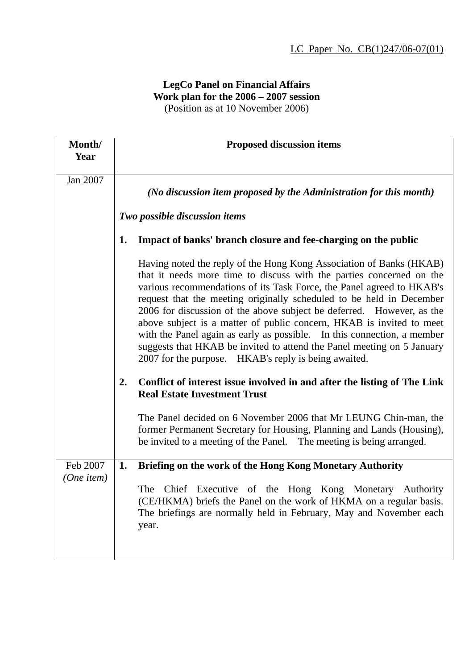## **LegCo Panel on Financial Affairs Work plan for the 2006 – 2007 session**  (Position as at 10 November 2006)

| Month/<br>Year         | <b>Proposed discussion items</b>                                                                                                                                                                                                                                                                                                                                                                                                                                                                                                                                                                                                                            |
|------------------------|-------------------------------------------------------------------------------------------------------------------------------------------------------------------------------------------------------------------------------------------------------------------------------------------------------------------------------------------------------------------------------------------------------------------------------------------------------------------------------------------------------------------------------------------------------------------------------------------------------------------------------------------------------------|
| Jan 2007               | (No discussion item proposed by the Administration for this month)                                                                                                                                                                                                                                                                                                                                                                                                                                                                                                                                                                                          |
|                        | Two possible discussion items                                                                                                                                                                                                                                                                                                                                                                                                                                                                                                                                                                                                                               |
|                        | Impact of banks' branch closure and fee-charging on the public<br>1.                                                                                                                                                                                                                                                                                                                                                                                                                                                                                                                                                                                        |
|                        | Having noted the reply of the Hong Kong Association of Banks (HKAB)<br>that it needs more time to discuss with the parties concerned on the<br>various recommendations of its Task Force, the Panel agreed to HKAB's<br>request that the meeting originally scheduled to be held in December<br>2006 for discussion of the above subject be deferred. However, as the<br>above subject is a matter of public concern, HKAB is invited to meet<br>with the Panel again as early as possible. In this connection, a member<br>suggests that HKAB be invited to attend the Panel meeting on 5 January<br>2007 for the purpose.  HKAB's reply is being awaited. |
|                        | Conflict of interest issue involved in and after the listing of The Link<br>2.<br><b>Real Estate Investment Trust</b>                                                                                                                                                                                                                                                                                                                                                                                                                                                                                                                                       |
|                        | The Panel decided on 6 November 2006 that Mr LEUNG Chin-man, the<br>former Permanent Secretary for Housing, Planning and Lands (Housing),<br>be invited to a meeting of the Panel. The meeting is being arranged.                                                                                                                                                                                                                                                                                                                                                                                                                                           |
| Feb 2007<br>(One item) | Briefing on the work of the Hong Kong Monetary Authority<br>1.                                                                                                                                                                                                                                                                                                                                                                                                                                                                                                                                                                                              |
|                        | Chief Executive of the Hong Kong Monetary Authority<br>The<br>(CE/HKMA) briefs the Panel on the work of HKMA on a regular basis.<br>The briefings are normally held in February, May and November each<br>year.                                                                                                                                                                                                                                                                                                                                                                                                                                             |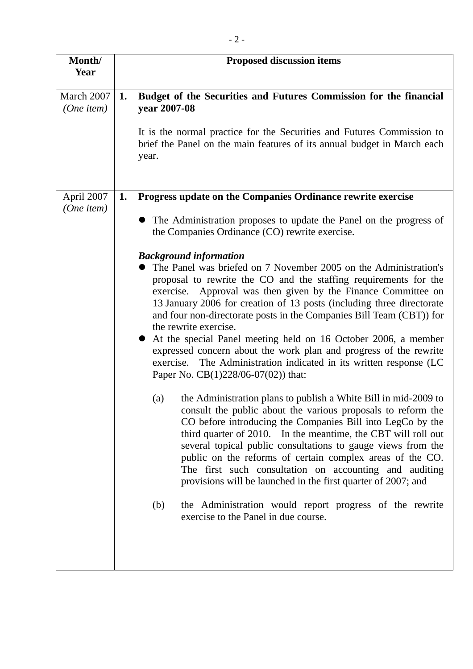| Month/<br>Year           | <b>Proposed discussion items</b>                                                                                                                                                                                                                                                                                                                                                                                                                                                                                                                                                                                                                                                                                                                                                                                                                                                                                                                                                                                                                                                                                                                                                                                                                                                                                    |
|--------------------------|---------------------------------------------------------------------------------------------------------------------------------------------------------------------------------------------------------------------------------------------------------------------------------------------------------------------------------------------------------------------------------------------------------------------------------------------------------------------------------------------------------------------------------------------------------------------------------------------------------------------------------------------------------------------------------------------------------------------------------------------------------------------------------------------------------------------------------------------------------------------------------------------------------------------------------------------------------------------------------------------------------------------------------------------------------------------------------------------------------------------------------------------------------------------------------------------------------------------------------------------------------------------------------------------------------------------|
|                          |                                                                                                                                                                                                                                                                                                                                                                                                                                                                                                                                                                                                                                                                                                                                                                                                                                                                                                                                                                                                                                                                                                                                                                                                                                                                                                                     |
| March 2007<br>(One item) | Budget of the Securities and Futures Commission for the financial<br>1.<br>year 2007-08<br>It is the normal practice for the Securities and Futures Commission to<br>brief the Panel on the main features of its annual budget in March each<br>year.                                                                                                                                                                                                                                                                                                                                                                                                                                                                                                                                                                                                                                                                                                                                                                                                                                                                                                                                                                                                                                                               |
| April 2007<br>(One item) | Progress update on the Companies Ordinance rewrite exercise<br>1.                                                                                                                                                                                                                                                                                                                                                                                                                                                                                                                                                                                                                                                                                                                                                                                                                                                                                                                                                                                                                                                                                                                                                                                                                                                   |
|                          | The Administration proposes to update the Panel on the progress of<br>the Companies Ordinance (CO) rewrite exercise.                                                                                                                                                                                                                                                                                                                                                                                                                                                                                                                                                                                                                                                                                                                                                                                                                                                                                                                                                                                                                                                                                                                                                                                                |
|                          | <b>Background information</b><br>The Panel was briefed on 7 November 2005 on the Administration's<br>proposal to rewrite the CO and the staffing requirements for the<br>exercise. Approval was then given by the Finance Committee on<br>13 January 2006 for creation of 13 posts (including three directorate<br>and four non-directorate posts in the Companies Bill Team (CBT)) for<br>the rewrite exercise.<br>At the special Panel meeting held on 16 October 2006, a member<br>expressed concern about the work plan and progress of the rewrite<br>The Administration indicated in its written response (LC<br>exercise.<br>Paper No. $CB(1)228/06-07(02)$ that:<br>the Administration plans to publish a White Bill in mid-2009 to<br>(a)<br>consult the public about the various proposals to reform the<br>CO before introducing the Companies Bill into LegCo by the<br>third quarter of 2010. In the meantime, the CBT will roll out<br>several topical public consultations to gauge views from the<br>public on the reforms of certain complex areas of the CO.<br>The first such consultation on accounting and auditing<br>provisions will be launched in the first quarter of 2007; and<br>the Administration would report progress of the rewrite<br>(b)<br>exercise to the Panel in due course. |
|                          |                                                                                                                                                                                                                                                                                                                                                                                                                                                                                                                                                                                                                                                                                                                                                                                                                                                                                                                                                                                                                                                                                                                                                                                                                                                                                                                     |